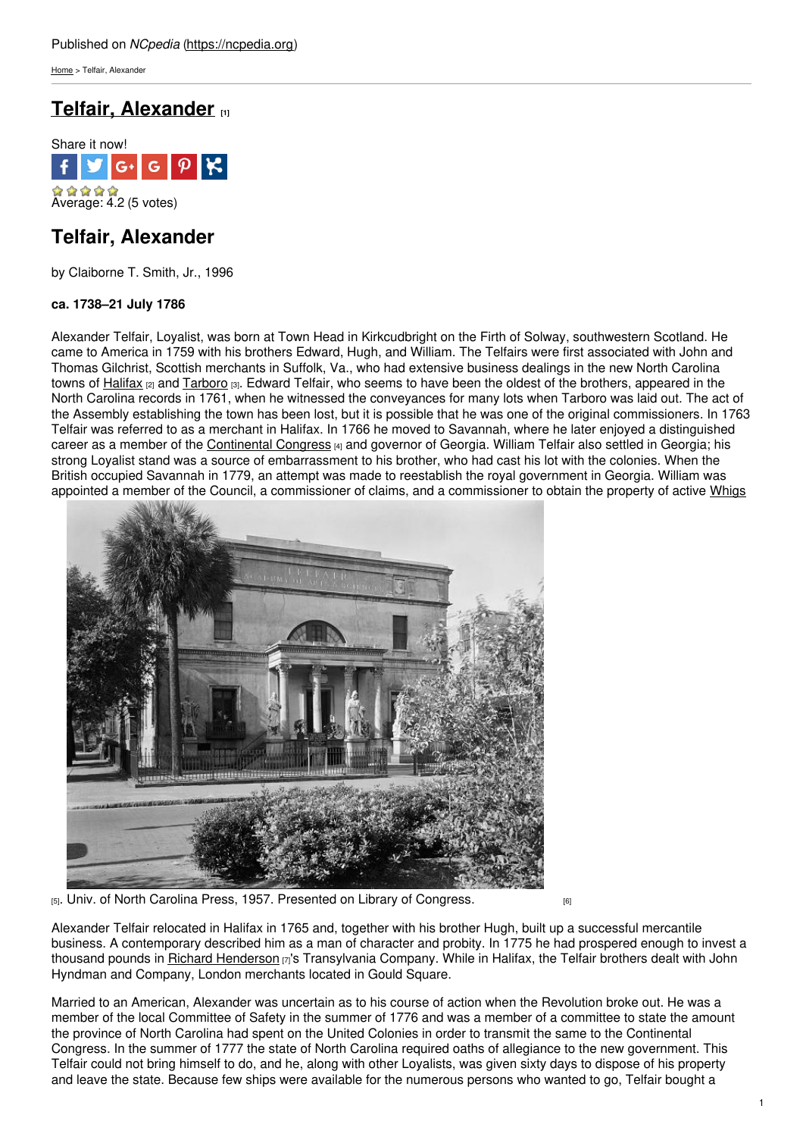[Home](https://ncpedia.org/) > Telfair, Alexander

# **Telfair, [Alexander](https://ncpedia.org/biography/telfair-alexander) [1]**



# **Telfair, Alexander**

by Claiborne T. Smith, Jr., 1996

# **ca. 1738–21 July 1786**

Alexander Telfair, Loyalist, was born at Town Head in Kirkcudbright on the Firth of Solway, southwestern Scotland. He came to America in 1759 with his brothers Edward, Hugh, and William. The Telfairs were first associated with John and Thomas Gilchrist, Scottish merchants in [Suffolk,](http://www.social9.com) Va., who had extensive business dealings in the new North Carolina towns of [Halifax](https://ncpedia.org/geography/halifax) <sub>[2]</sub> and [Tarboro](https://ncpedia.org/gazetteer/search/Tarboro) [3]. Edward Telfair, who seems to have been the oldest of the brothers, appeared in the North Carolina records in 1761, when he witnessed the conveyances for many lots when Tarboro was laid out. The act of the Assembly establishing the town has been lost, but it is possible that he was one of the original commissioners. In 1763 Telfair was referred to as a merchant in Halifax. In 1766 he moved to Savannah, where he later enjoyed a distinguished career as a member of the [Continental](https://history.state.gov/milestones/1776-1783/continental-congress) Congress [4] and governor of Georgia. William Telfair also settled in Georgia; his strong Loyalist stand was a source of embarrassment to his brother, who had cast his lot with the colonies. When the British occupied Savannah in 1779, an attempt was made to reestablish the royal government in Georgia. William was appointed a member of the Council, a commissioner of claims, and a commissioner to obtain the property of active [Whigs](https://ncpedia.org/history/1776-1860/democrats-whigs)



[5]. Univ. of North Carolina Press, 1957. Presented on Library of [Congress.](http://www.loc.gov/item/csas200800677/)

Alexander Telfair relocated in Halifax in 1765 and, together with his brother Hugh, built up a successful mercantile business. A contemporary described him as a man of character and probity. In 1775 he had prospered enough to invest a thousand pounds in Richard [Henderson](https://ncpedia.org/biography/henderson-richard)  $\sigma$ 's Transylvania Company. While in Halifax, the Telfair brothers dealt with John Hyndman and Company, London merchants located in Gould Square.

Married to an American, Alexander was uncertain as to his course of action when the Revolution broke out. He was a member of the local Committee of Safety in the summer of 1776 and was a member of a committee to state the amount the province of North Carolina had spent on the United Colonies in order to transmit the same to the Continental Congress. In the summer of 1777 the state of North Carolina required oaths of allegiance to the new government. This Telfair could not bring himself to do, and he, along with other Loyalists, was given sixty days to dispose of his property and leave the state. Because few ships were available for the numerous persons who wanted to go, Telfair bought a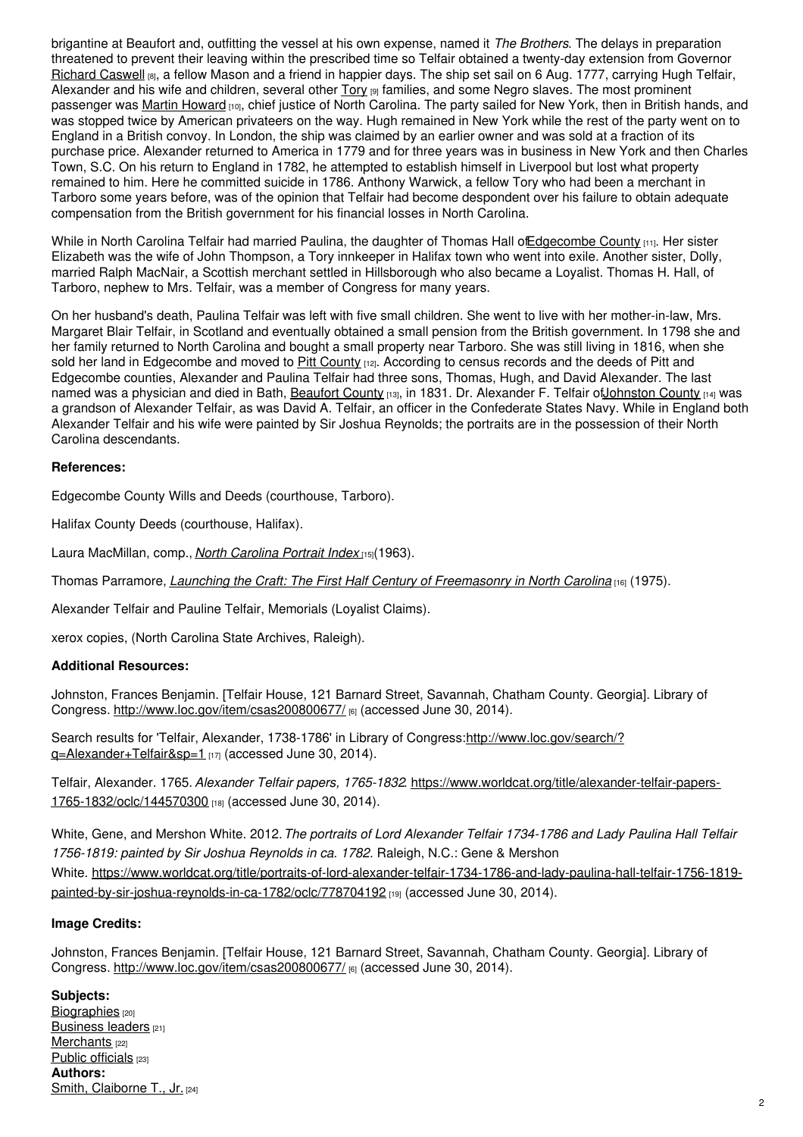brigantine at Beaufort and, outfitting the vessel at his own expense, named it *The Brothers*. The delays in preparation threatened to prevent their leaving within the prescribed time so Telfair obtained a twenty-day extension from Governor [Richard](https://ncpedia.org/biography/caswell-richard-0) Caswell [8], a fellow Mason and a friend in happier days. The ship set sail on 6 Aug. 1777, carrying Hugh Telfair, Alexander and his wife and children, several other  $Tory$  [9] families, and some Negro slaves. The most prominent passenger was Martin [Howard](https://ncpedia.org/biography/howard-martin) [10], chief justice of North Carolina. The party sailed for New York, then in British hands, and was stopped twice by American privateers on the way. Hugh remained in New York while the rest of the party went on to England in a British convoy. In London, the ship was claimed by an earlier owner and was sold at a fraction of its purchase price. Alexander returned to America in 1779 and for three years was in business in New York and then Charles Town, S.C. On his return to England in 1782, he attempted to establish himself in Liverpool but lost what property remained to him. Here he committed suicide in 1786. Anthony Warwick, a fellow Tory who had been a merchant in Tarboro some years before, was of the opinion that Telfair had become despondent over his failure to obtain adequate compensation from the British government for his financial losses in North Carolina.

While in North Carolina Telfair had married Paulina, the daughter of Thomas Hall of Edgecombe County [11]. Her sister Elizabeth was the wife of John Thompson, a Tory innkeeper in Halifax town who went into exile. Another sister, Dolly, married Ralph MacNair, a Scottish merchant settled in Hillsborough who also became a Loyalist. Thomas H. Hall, of Tarboro, nephew to Mrs. Telfair, was a member of Congress for many years.

On her husband's death, Paulina Telfair was left with five small children. She went to live with her mother-in-law, Mrs. Margaret Blair Telfair, in Scotland and eventually obtained a small pension from the British government. In 1798 she and her family returned to North Carolina and bought a small property near Tarboro. She was still living in 1816, when she sold her land in Edgecombe and moved to Pitt [County](https://ncpedia.org/geography/pitt) [12]. According to census records and the deeds of Pitt and Edgecombe counties, Alexander and Paulina Telfair had three sons, Thomas, Hugh, and David Alexander. The last named was a physician and died in Bath, [Beaufort](https://ncpedia.org/geography/beaufort) County [13], in 1831. Dr. Alexander F. Telfair of Johnston County [14] was a grandson of Alexander Telfair, as was David A. Telfair, an officer in the Confederate States Navy. While in England both Alexander Telfair and his wife were painted by Sir Joshua Reynolds; the portraits are in the possession of their North Carolina descendants.

### **References:**

Edgecombe County Wills and Deeds (courthouse, Tarboro).

Halifax County Deeds (courthouse, Halifax).

Laura MacMillan, comp., *North [Carolina](https://www.worldcat.org/title/north-carolina-portrait-index-1700-1860/oclc/832326) Portrait Index* [15](1963).

Thomas Parramore, *Launching the Craft: The First Half Century of [Freemasonry](https://www.worldcat.org/title/launching-the-craft-the-first-half-century-of-freemasonry-in-north-carolina/oclc/2297119) in North Carolina* [16] (1975).

Alexander Telfair and Pauline Telfair, Memorials (Loyalist Claims).

xerox copies, (North Carolina State Archives, Raleigh).

# **Additional Resources:**

Johnston, Frances Benjamin. [Telfair House, 121 Barnard Street, Savannah, Chatham County. Georgia]. Library of Congress. <http://www.loc.gov/item/csas200800677/> [6] (accessed June 30, 2014).

Search results for 'Telfair, Alexander, 1738-1786' in Library of [Congress:http://www.loc.gov/search/?](http://www.loc.gov/search/?q=Alexander+Telfair&sp=1) q=Alexander+Telfair&sp=1 [17] (accessed June 30, 2014).

Telfair, Alexander. 1765. *Alexander Telfair papers, 1765-1832.* [https://www.worldcat.org/title/alexander-telfair-papers-](https://www.worldcat.org/title/alexander-telfair-papers-1765-1832/oclc/144570300)1765-1832/oclc/144570300 [18] (accessed June 30, 2014).

White, Gene, and Mershon White. 2012.*The portraits of Lord Alexander Telfair 1734-1786 and Lady Paulina Hall Telfair 1756-1819: painted by Sir Joshua Reynolds in ca. 1782.* Raleigh, N.C.: Gene & Mershon White. [https://www.worldcat.org/title/portraits-of-lord-alexander-telfair-1734-1786-and-lady-paulina-hall-telfair-1756-1819](https://www.worldcat.org/title/portraits-of-lord-alexander-telfair-1734-1786-and-lady-paulina-hall-telfair-1756-1819-painted-by-sir-joshua-reynolds-in-ca-1782/oclc/778704192) painted-by-sir-joshua-reynolds-in-ca-1782/oclc/778704192 [19] (accessed June 30, 2014).

### **Image Credits:**

Johnston, Frances Benjamin. [Telfair House, 121 Barnard Street, Savannah, Chatham County. Georgia]. Library of Congress. <http://www.loc.gov/item/csas200800677/> [6] (accessed June 30, 2014).

**Subjects:** [Biographies](https://ncpedia.org/category/subjects/biography-term) [20] **[Business](https://ncpedia.org/category/subjects/business-leaders) leaders** [21] [Merchants](https://ncpedia.org/category/subjects/merchants) [22] Public [officials](https://ncpedia.org/category/subjects/public-officials) [23] **Authors:** Smith, [Claiborne](https://ncpedia.org/category/authors/smith-claiborne-t-) T., Jr, [24]